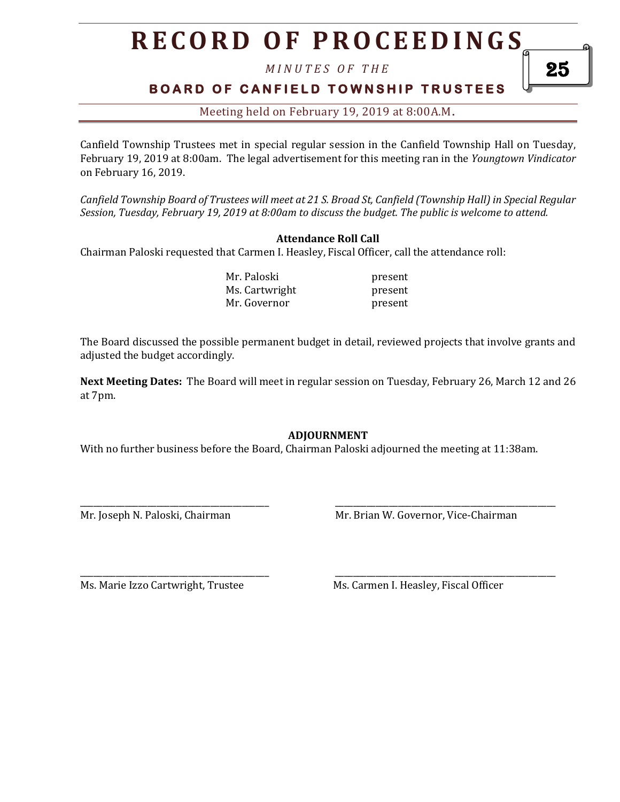# **R E C O R D O F P R O C E E D I N GS**

*M I N U T E S O F T H E* 

### **BOARD OF CANFIELD TOWNSHIP TRUSTEES**

Meeting held on February 19, 2019 at 8:00A.M**.**

Canfield Township Trustees met in special regular session in the Canfield Township Hall on Tuesday, February 19, 2019 at 8:00am. The legal advertisement for this meeting ran in the *Youngtown Vindicator* on February 16, 2019.

*Canfield Township Board of Trustees will meet at 21 S. Broad St, Canfield (Township Hall) in Special Regular Session, Tuesday, February 19, 2019 at 8:00am to discuss the budget. The public is welcome to attend.*

#### **Attendance Roll Call**

Chairman Paloski requested that Carmen I. Heasley, Fiscal Officer, call the attendance roll:

Mr. Paloski present Ms. Cartwright present Mr. Governor **present** 

The Board discussed the possible permanent budget in detail, reviewed projects that involve grants and adjusted the budget accordingly.

**Next Meeting Dates:** The Board will meet in regular session on Tuesday, February 26, March 12 and 26 at 7pm.

#### **ADJOURNMENT**

With no further business before the Board, Chairman Paloski adjourned the meeting at 11:38am.

\_\_\_\_\_\_\_\_\_\_\_\_\_\_\_\_\_\_\_\_\_\_\_\_\_\_\_\_\_\_\_\_\_\_\_\_\_\_\_\_\_\_ \_\_\_\_\_\_\_\_\_\_\_\_\_\_\_\_\_\_\_\_\_\_\_\_\_\_\_\_\_\_\_\_\_\_\_\_\_\_\_\_\_\_\_\_\_\_\_\_\_

\_\_\_\_\_\_\_\_\_\_\_\_\_\_\_\_\_\_\_\_\_\_\_\_\_\_\_\_\_\_\_\_\_\_\_\_\_\_\_\_\_\_ \_\_\_\_\_\_\_\_\_\_\_\_\_\_\_\_\_\_\_\_\_\_\_\_\_\_\_\_\_\_\_\_\_\_\_\_\_\_\_\_\_\_\_\_\_\_\_\_\_

Mr. Joseph N. Paloski, Chairman Mr. Brian W. Governor, Vice-Chairman

Ms. Marie Izzo Cartwright, Trustee Ms. Carmen I. Heasley, Fiscal Officer

25